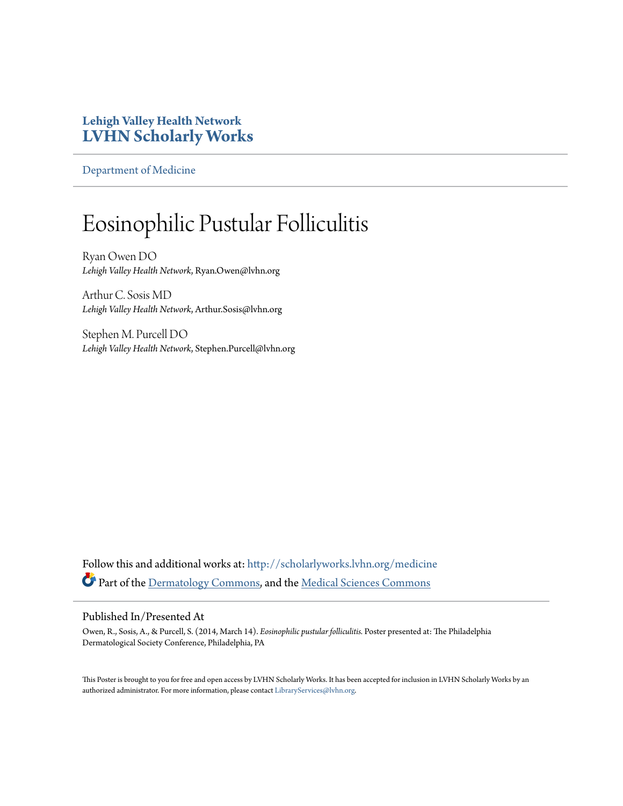## **Lehigh Valley Health Network [LVHN Scholarly Works](http://scholarlyworks.lvhn.org?utm_source=scholarlyworks.lvhn.org%2Fmedicine%2F442&utm_medium=PDF&utm_campaign=PDFCoverPages)**

[Department of Medicine](http://scholarlyworks.lvhn.org/medicine?utm_source=scholarlyworks.lvhn.org%2Fmedicine%2F442&utm_medium=PDF&utm_campaign=PDFCoverPages)

## Eosinophilic Pustular Folliculitis

Ryan Owen DO *Lehigh Valley Health Network*, Ryan.Owen@lvhn.org

Arthur C. Sosis MD *Lehigh Valley Health Network*, Arthur.Sosis@lvhn.org

Stephen M. Purcell DO *Lehigh Valley Health Network*, Stephen.Purcell@lvhn.org

Follow this and additional works at: [http://scholarlyworks.lvhn.org/medicine](http://scholarlyworks.lvhn.org/medicine?utm_source=scholarlyworks.lvhn.org%2Fmedicine%2F442&utm_medium=PDF&utm_campaign=PDFCoverPages) Part of the [Dermatology Commons,](http://network.bepress.com/hgg/discipline/684?utm_source=scholarlyworks.lvhn.org%2Fmedicine%2F442&utm_medium=PDF&utm_campaign=PDFCoverPages) and the [Medical Sciences Commons](http://network.bepress.com/hgg/discipline/664?utm_source=scholarlyworks.lvhn.org%2Fmedicine%2F442&utm_medium=PDF&utm_campaign=PDFCoverPages)

## Published In/Presented At

Owen, R., Sosis, A., & Purcell, S. (2014, March 14). *Eosinophilic pustular folliculitis.* Poster presented at: The Philadelphia Dermatological Society Conference, Philadelphia, PA

This Poster is brought to you for free and open access by LVHN Scholarly Works. It has been accepted for inclusion in LVHN Scholarly Works by an authorized administrator. For more information, please contact [LibraryServices@lvhn.org.](mailto:LibraryServices@lvhn.org)